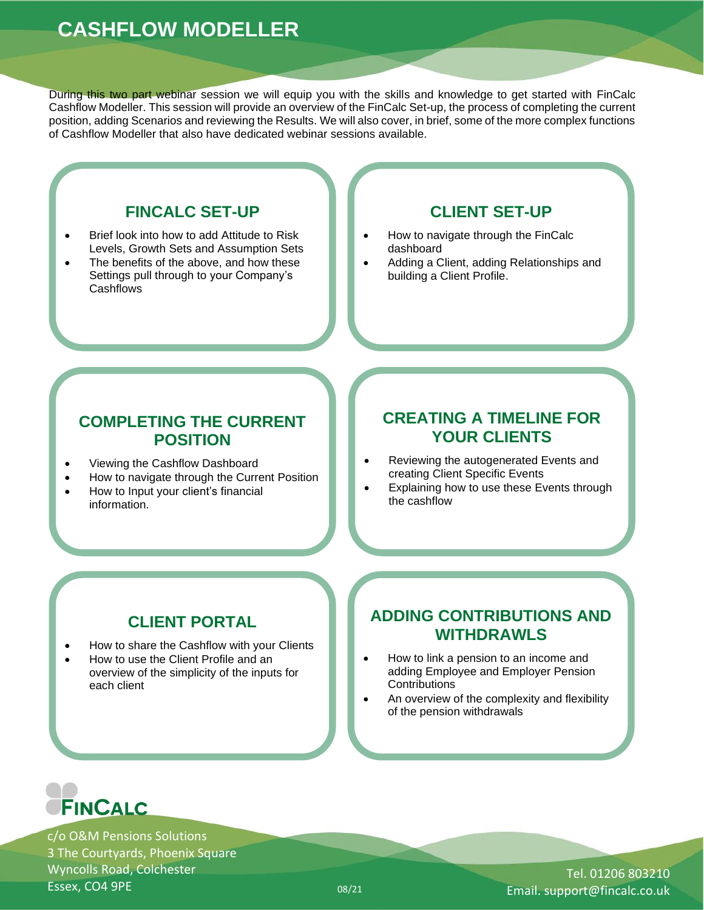# **CASHFLOW MODELLER**

During this two part webinar session we will equip you with the skills and knowledge to get started with FinCalc Cashflow Modeller. This session will provide an overview of the FinCalc Set-up, the process of completing the current position, adding Scenarios and reviewing the Results. We will also cover, in brief, some of the more complex functions of Cashflow Modeller that also have dedicated webinar sessions available.

# **FINCALC SET-UP**

- Brief look into how to add Attitude to Risk Levels, Growth Sets and Assumption Sets
- The benefits of the above, and how these Settings pull through to your Company's Cashflows

### **CLIENT SET-UP**

- How to navigate through the FinCalc dashboard
- Adding a Client, adding Relationships and building a Client Profile.

#### **COMPLETING THE CURRENT POSITION**

- Viewing the Cashflow Dashboard
- How to navigate through the Current Position
- How to Input your client's financial information.

# **CREATING A TIMELINE FOR YOUR CLIENTS**

- Reviewing the autogenerated Events and creating Client Specific Events
- Explaining how to use these Events through the cashflow

# **CLIENT PORTAL**

- How to share the Cashflow with your Clients
- How to use the Client Profile and an overview of the simplicity of the inputs for each client

# **ADDING CONTRIBUTIONS AND WITHDRAWLS**

- How to link a pension to an income and adding Employee and Employer Pension **Contributions**
- An overview of the complexity and flexibility of the pension withdrawals



c/o O&M Pensions Solutions 3 The Courtyards, Phoenix Square Wyncolls Road, Colchester Essex, CO4 9PE 08/21

Tel. 01206 803210 Email. support@fincalc.co.uk